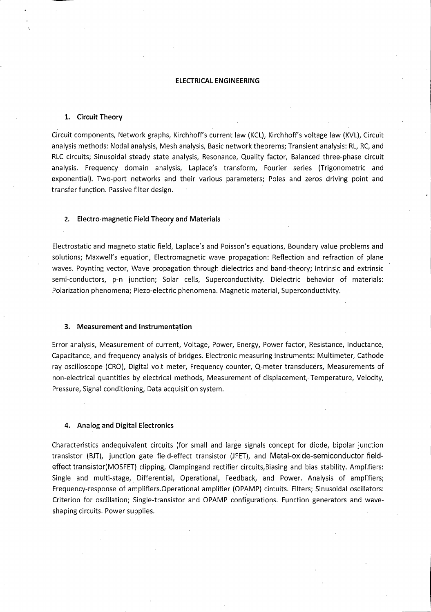#### ELECTRICAL ENGINEERING

## 1. Circuit Theory

Circuit components, Network graphs, Kirchhoff's current law (KCL), Kirchhoff's voltage law (KVL), Circuit analysis methods: Nodal analysis, Mesh analysis, Basic network theorems; Transient analysis: RL, RC, and RLC circuits; Sinusoidal steady state analysis. Resonance, Quality factor. Balanced three-phase circuit analysis. Frequency domain analysis, Laplace's transform, Fourier series (Trigonometric and exponential). Two-port networks and their various parameters; Poles and zeros driving point and transfer function. Passive filter design.

## 2. Electro-magnetic Field Theory and Materials

Electrostatic and magneto static field, Laplace's and Poisson's equations. Boundary value problems and solutions; Maxwell's equation. Electromagnetic wave propagation: Reflection and refraction of plane waves. Poynting vector. Wave propagation through dielectrics and band-theory; Intrinsic and extrinsic semi-conductors, p-n junction; Solar cells. Superconductivity. Dielectric behavior of materials: Polarization phenomena; Piezo-electric phenomena. Magnetic material. Superconductivity.

## 3. Measurement and Instrumentation

Error analysis. Measurement of current. Voltage, Power, Energy, Power factor. Resistance, Inductance, Capacitance, and frequency analysis of bridges. Electronic measuring instruments: Multimeter, Cathode ray oscilloscope (CRO), Digital volt meter, Frequency counter, Q-meter transducers, Measurements of non-electrical quantities by electrical methods. Measurement of displacement. Temperature, Velocity, Pressure, Signal conditioning. Data acquisition system.

## 4. Analog and Digital Electronics

Characteristics andequivalent circuits (for small and large signals concept for diode, bipolar junction transistor (BJT), junction gate field-effect transistor (JFET), and Metal-oxide-semiconductor fieldeffect transistor(MOSFET) clipping, Clampingand rectifier circuits, Biasing and bias stability. Amplifiers: Single and multi-stage. Differential, Operational, Feedback, and Power. Analysis of amplifiers; Frequency-response of amplifiers.Operational amplifier (OPAMP) circuits. Filters; Sinusoidal oscillators: Criterion for oscillation; Single-transistor and OPAMP configurations. Function generators and waveshaping circuits. Power supplies.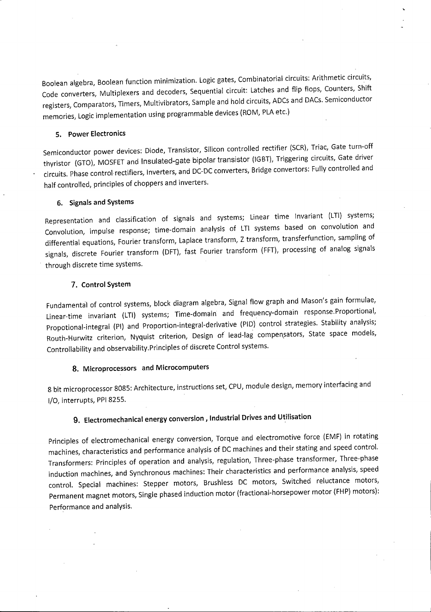Boolean algebra, Boolean function minimization. Logic gates, Combinatorial circuits: Arithmetic circuits. Code converters. Multiplexers and decoders. Sequential circuit: Latches and flip flops. Counters, Shift registers, Comparators, Timers, Multivibrators, Sample and hold circuits, ADCs and DACs. Semiconductor memories. Logic implementation using programmable devices (ROM, PLA etc.)

## 5. Power Electronics

Semiconductor power devices: Diode, Transistor, Silicon controlled rectifier (SCR), Triac, Gate turn-off thyristor (GTO), MOSFET and Insulated-gate bipolar transistor (IGBT), Triggering circuits. Gate driver circuits. Phase control rectifiers. Inverters, and DC-DC converters. Bridge convertors: Fully controlled and half controlled, principles of choppers and inverters.

## 6. Signals and Systems

Representation and classification of signals and systems; Linear time Invariant (LTl) systems; Convolution, impulse response; time-domain analysis of LTl systems based on convolution and differential equations, Fourier transform, Laplace transform, Z transform, transferfunction, sampling of signals, discrete Fourier transform (DFT), fast Fourier transform (FFT), processing of analog signals through discrete time systems.

## 7. Control System

Fundamental of control systems, block diagram algebra, Signal flow graph and Mason's gain formulae, Linear-time invariant (LTl) systems; Time-domain and frequency-domain response.Proportional, Propotional-integral (PI) and Proportion-integral-derivative (PID) control strategies. Stability analysis; Routh-Hurwitz criterion, Nyquist criterion, Design of lead-lag compensators, State space models, Controllability and observability.Principles of discrete Control systems.

## 8. Microprocessors and Microcomputers

8 bit microprocessor 8085: Architecture, instructions set, CPU, module design, memory interfacing and I/O, interrupts, PPI 8255.

# 9. Electromechanical energy conversion , Industrial Drives and Utilisation

Principles of electromechanical energy conversion. Torque and electromotive force (EMF) in rotating machines, characteristics and performance analysis of DC machines and their stating and speed control. Transformers: Principles of operation and analysis, regulation. Three-phase transformer. Three-phase induction machines, and Synchronous machines: Their characteristics and performance analysis, speed control. Special machines: Stepper motors, Brushless DC motors, Switched reluctance motors. Permanent magnet motors. Single phased induction motor (fractional-horsepower motor (FHP) motors): Performance and analysis.